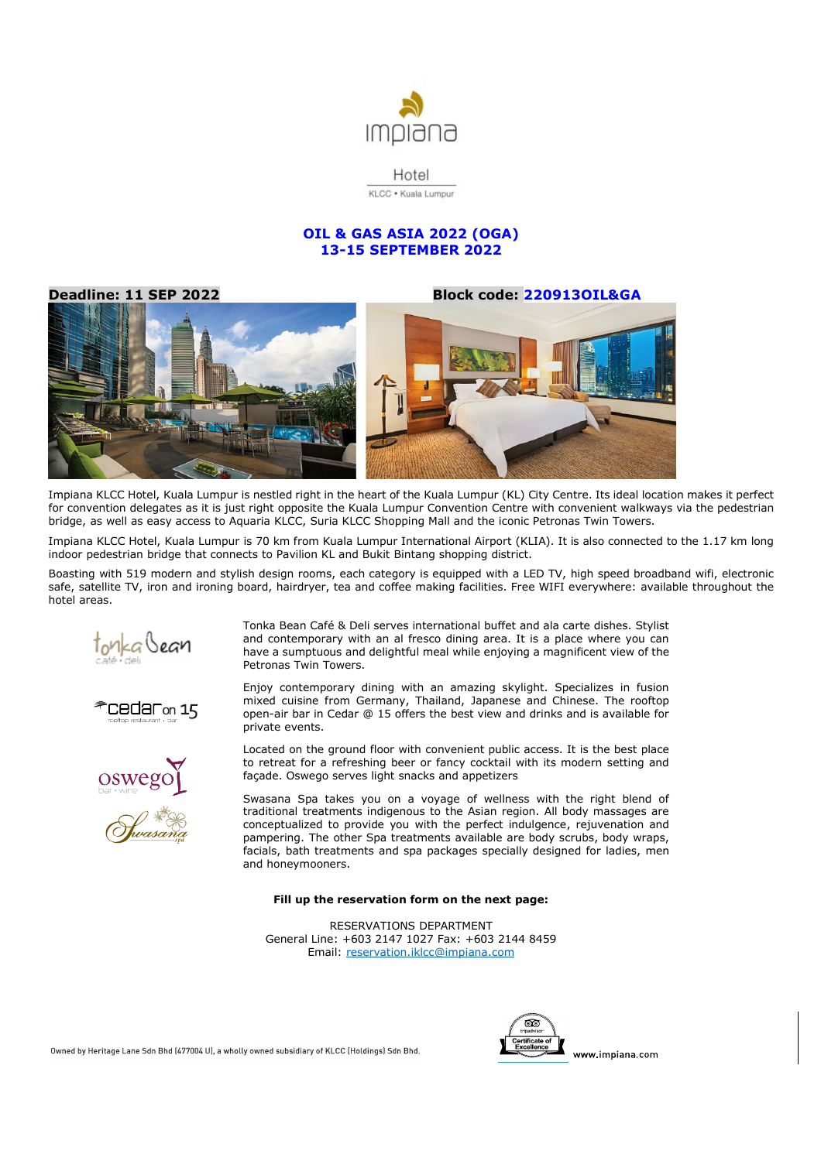

Hotel KLCC . Kuala Lumpur

# **OIL & GAS ASIA 2022 (OGA) 13-15 SEPTEMBER 2022**

**Deadline: 11 SEP 2022 Block code: 220913OIL&GA** 



Impiana KLCC Hotel, Kuala Lumpur is nestled right in the heart of the Kuala Lumpur (KL) City Centre. Its ideal location makes it perfect for convention delegates as it is just right opposite the Kuala Lumpur Convention Centre with convenient walkways via the pedestrian bridge, as well as easy access to Aquaria KLCC, Suria KLCC Shopping Mall and the iconic Petronas Twin Towers.

Impiana KLCC Hotel, Kuala Lumpur is 70 km from Kuala Lumpur International Airport (KLIA). It is also connected to the 1.17 km long indoor pedestrian bridge that connects to Pavilion KL and Bukit Bintang shopping district.

Boasting with 519 modern and stylish design rooms, each category is equipped with a LED TV, high speed broadband wifi, electronic safe, satellite TV, iron and ironing board, hairdryer, tea and coffee making facilities. Free WIFI everywhere: available throughout the hotel areas.



Cedaron 15



Tonka Bean Café & Deli serves international buffet and ala carte dishes. Stylist and contemporary with an al fresco dining area. It is a place where you can have a sumptuous and delightful meal while enjoying a magnificent view of the Petronas Twin Towers.

Enjoy contemporary dining with an amazing skylight. Specializes in fusion mixed cuisine from Germany, Thailand, Japanese and Chinese. The rooftop open-air bar in Cedar @ 15 offers the best view and drinks and is available for private events.

Located on the ground floor with convenient public access. It is the best place to retreat for a refreshing beer or fancy cocktail with its modern setting and façade. Oswego serves light snacks and appetizers

Swasana Spa takes you on a voyage of wellness with the right blend of traditional treatments indigenous to the Asian region. All body massages are conceptualized to provide you with the perfect indulgence, rejuvenation and pampering. The other Spa treatments available are body scrubs, body wraps, facials, bath treatments and spa packages specially designed for ladies, men and honeymooners.

### **Fill up the reservation form on the next page:**

RESERVATIONS DEPARTMENT General Line: +603 2147 1027 Fax: +603 2144 8459 Email: reservation.iklcc@impiana.com



Owned by Heritage Lane Sdn Bhd (477004 U), a wholly owned subsidiary of KLCC (Holdings) Sdn Bhd.